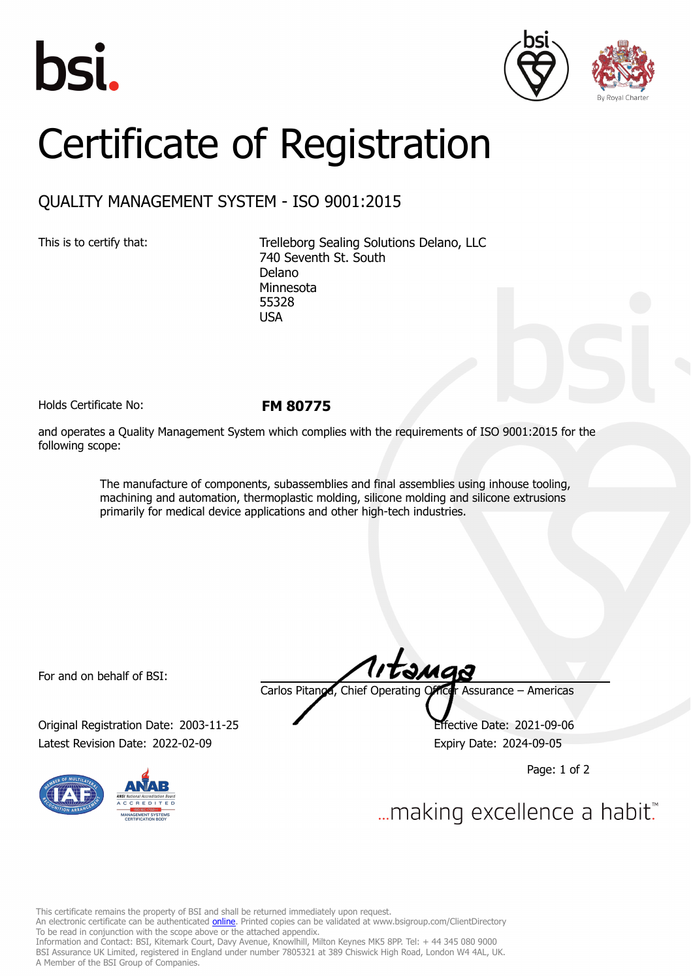





## Certificate of Registration

## QUALITY MANAGEMENT SYSTEM - ISO 9001:2015

This is to certify that: Trelleborg Sealing Solutions Delano, LLC 740 Seventh St. South Delano Minnesota 55328 USA

Holds Certificate No: **FM 80775**

and operates a Quality Management System which complies with the requirements of ISO 9001:2015 for the following scope:

> The manufacture of components, subassemblies and final assemblies using inhouse tooling, machining and automation, thermoplastic molding, silicone molding and silicone extrusions primarily for medical device applications and other high-tech industries.

For and on behalf of BSI:

Original Registration Date: 2003-11-25 Effective Date: 2021-09-06 Latest Revision Date: 2022-02-09 **Expiry Date: 2024-09-05** 



Carlos Pitanga, Chief Operating Officer Assurance – Americas

Page: 1 of 2

... making excellence a habit.

This certificate remains the property of BSI and shall be returned immediately upon request. An electronic certificate can be authenticated *[online](https://pgplus.bsigroup.com/CertificateValidation/CertificateValidator.aspx?CertificateNumber=FM+80775&ReIssueDate=09%2f02%2f2022&Template=inc)*. Printed copies can be validated at www.bsigroup.com/ClientDirectory To be read in conjunction with the scope above or the attached appendix. Information and Contact: BSI, Kitemark Court, Davy Avenue, Knowlhill, Milton Keynes MK5 8PP. Tel: + 44 345 080 9000 BSI Assurance UK Limited, registered in England under number 7805321 at 389 Chiswick High Road, London W4 4AL, UK. A Member of the BSI Group of Companies.